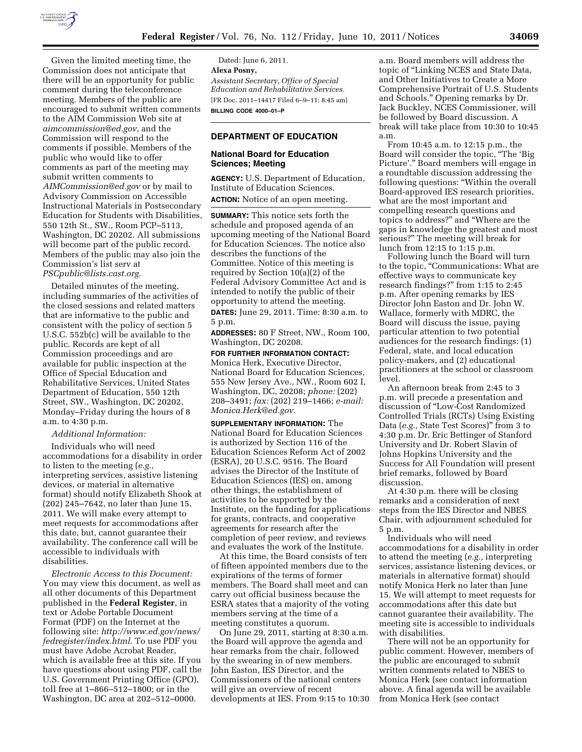

Given the limited meeting time, the Commission does not anticipate that there will be an opportunity for public comment during the teleconference meeting. Members of the public are encouraged to submit written comments to the AIM Commission Web site at *[aimcommission@ed.gov,](mailto:aimcommission@ed.gov)* and the Commission will respond to the comments if possible. Members of the public who would like to offer comments as part of the meeting may submit written comments to *[AIMCommission@ed.gov](mailto:AIMCommission@ed.gov)* or by mail to Advisory Commission on Accessible Instructional Materials in Postsecondary Education for Students with Disabilities, 550 12th St., SW., Room PCP–5113, Washington, DC 20202. All submissions will become part of the public record. Members of the public may also join the Commission's list serv at *[PSCpublic@lists.cast.org.](mailto:PSCpublic@lists.cast.org)* 

Detailed minutes of the meeting, including summaries of the activities of the closed sessions and related matters that are informative to the public and consistent with the policy of section 5 U.S.C. 552b(c) will be available to the public. Records are kept of all Commission proceedings and are available for public inspection at the Office of Special Education and Rehabilitative Services, United States Department of Education, 550 12th Street, SW., Washington, DC 20202, Monday–Friday during the hours of 8 a.m. to 4:30 p.m.

### *Additional Information:*

Individuals who will need accommodations for a disability in order to listen to the meeting (*e.g.,*  interpreting services, assistive listening devices, or material in alternative format) should notify Elizabeth Shook at (202) 245–7642, no later than June 15, 2011. We will make every attempt to meet requests for accommodations after this date, but, cannot guarantee their availability. The conference call will be accessible to individuals with disabilities.

*Electronic Access to this Document:*  You may view this document, as well as all other documents of this Department published in the **Federal Register**, in text or Adobe Portable Document Format (PDF) on the Internet at the following site: *[http://www.ed.gov/news/](http://www.ed.gov/news/fedregister/index.html) [fedregister/index.html.](http://www.ed.gov/news/fedregister/index.html)* To use PDF you must have Adobe Acrobat Reader, which is available free at this site. If you have questions about using PDF, call the U.S. Government Printing Office (GPO), toll free at 1–866–512–1800; or in the Washington, DC area at 202–512–0000.

Dated: June 6, 2011. **Alexa Posny,**  *Assistant Secretary, Office of Special Education and Rehabilitative Services.*  [FR Doc. 2011–14417 Filed 6–9–11; 8:45 am] **BILLING CODE 4000–01–P** 

# **DEPARTMENT OF EDUCATION**

## **National Board for Education Sciences; Meeting**

**AGENCY:** U.S. Department of Education, Institute of Education Sciences.

**ACTION:** Notice of an open meeting.

**SUMMARY:** This notice sets forth the schedule and proposed agenda of an upcoming meeting of the National Board for Education Sciences. The notice also describes the functions of the Committee. Notice of this meeting is required by Section 10(a)(2) of the Federal Advisory Committee Act and is intended to notify the public of their opportunity to attend the meeting. **DATES:** June 29, 2011. Time: 8:30 a.m. to 5 p.m.

**ADDRESSES:** 80 F Street, NW., Room 100, Washington, DC 20208.

**FOR FURTHER INFORMATION CONTACT:**  Monica Herk, Executive Director, National Board for Education Sciences, 555 New Jersey Ave., NW., Room 602 I, Washington, DC, 20208; *phone:* (202) 208–3491; *fax:* (202) 219–1466; *e-mail: [Monica.Herk@ed.gov.](mailto:Monica.Herk@ed.gov)* 

**SUPPLEMENTARY INFORMATION:** The National Board for Education Sciences is authorized by Section 116 of the Education Sciences Reform Act of 2002 (ESRA), 20 U.S.C. 9516. The Board advises the Director of the Institute of Education Sciences (IES) on, among other things, the establishment of activities to be supported by the Institute, on the funding for applications for grants, contracts, and cooperative agreements for research after the completion of peer review, and reviews and evaluates the work of the Institute.

At this time, the Board consists of ten of fifteen appointed members due to the expirations of the terms of former members. The Board shall meet and can carry out official business because the ESRA states that a majority of the voting members serving at the time of a meeting constitutes a quorum.

On June 29, 2011, starting at 8:30 a.m. the Board will approve the agenda and hear remarks from the chair, followed by the swearing in of new members. John Easton, IES Director, and the Commissioners of the national centers will give an overview of recent developments at IES. From 9:15 to 10:30 a.m. Board members will address the topic of ''Linking NCES and State Data, and Other Initiatives to Create a More Comprehensive Portrait of U.S. Students and Schools.'' Opening remarks by Dr. Jack Buckley, NCES Commissioner, will be followed by Board discussion. A break will take place from 10:30 to 10:45 a.m.

From 10:45 a.m. to 12:15 p.m., the Board will consider the topic, ''The 'Big Picture'.'' Board members will engage in a roundtable discussion addressing the following questions: ''Within the overall Board-approved IES research priorities, what are the most important and compelling research questions and topics to address?'' and ''Where are the gaps in knowledge the greatest and most serious?'' The meeting will break for lunch from 12:15 to 1:15 p.m.

Following lunch the Board will turn to the topic, ''Communications: What are effective ways to communicate key research findings?'' from 1:15 to 2:45 p.m. After opening remarks by IES Director John Easton and Dr. John W. Wallace, formerly with MDRC, the Board will discuss the issue, paying particular attention to two potential audiences for the research findings: (1) Federal, state, and local education policy-makers, and (2) educational practitioners at the school or classroom level.

An afternoon break from 2:45 to 3 p.m. will precede a presentation and discussion of ''Low-Cost Randomized Controlled Trials (RCTs) Using Existing Data (*e.g.,* State Test Scores)'' from 3 to 4:30 p.m. Dr. Eric Bettinger of Stanford University and Dr. Robert Slavin of Johns Hopkins University and the Success for All Foundation will present brief remarks, followed by Board discussion.

At 4:30 p.m. there will be closing remarks and a consideration of next steps from the IES Director and NBES Chair, with adjournment scheduled for 5 p.m.

Individuals who will need accommodations for a disability in order to attend the meeting (*e.g.,* interpreting services, assistance listening devices, or materials in alternative format) should notify Monica Herk no later than June 15. We will attempt to meet requests for accommodations after this date but cannot guarantee their availability. The meeting site is accessible to individuals with disabilities.

There will not be an opportunity for public comment. However, members of the public are encouraged to submit written comments related to NBES to Monica Herk (see contact information above. A final agenda will be available from Monica Herk (see contact